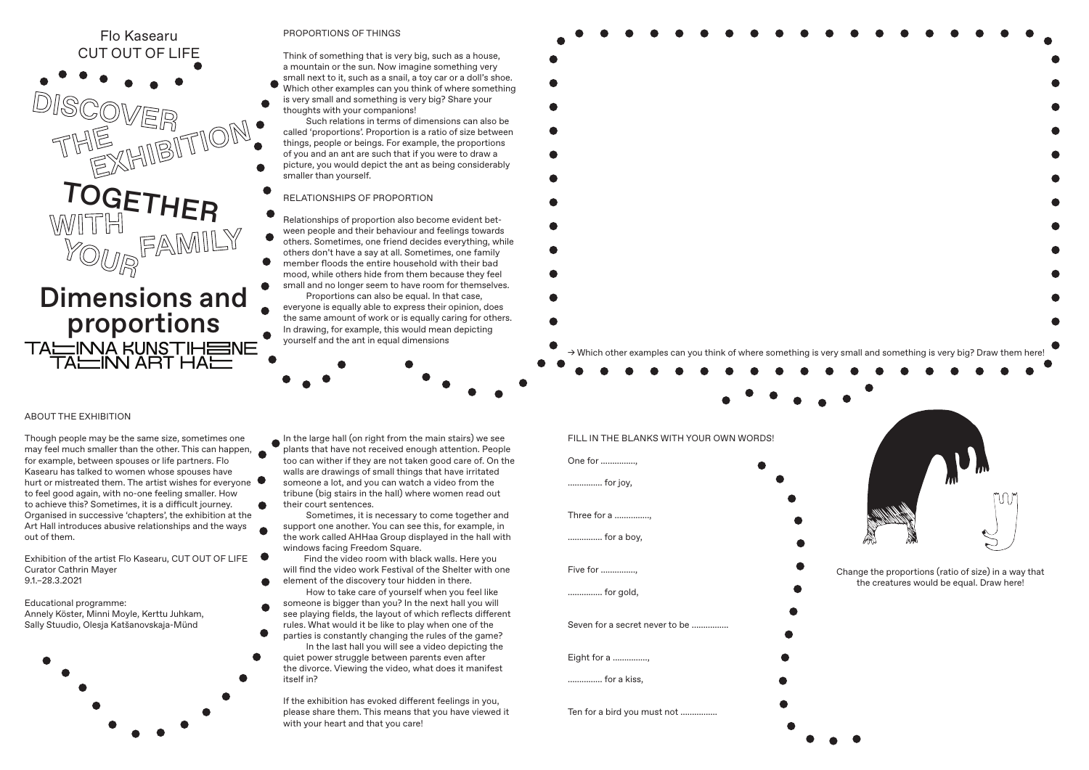

## PROPORTIONS OF THINGS

Think of something that is very big, such as a house, a mountain or the sun. Now imagine something very small next to it, such as a snail, a toy car or a doll's shoe.

Which other examples can you think of where something is very small and something is very big? Share your thoughts with your companions!

 Such relations in terms of dimensions can also be called 'proportions'. Proportion is a ratio of size between things, people or beings. For example, the proportions of you and an ant are such that if you were to draw a

picture, you would depict the ant as being considerably smaller than yourself.

## RELATIONSHIPS OF PROPORTION

- Relationships of proportion also become evident between people and their behaviour and feelings towards  $\bullet$ others. Sometimes, one friend decides everything, while
- others don't have a say at all. Sometimes, one family member floods the entire household with their bad
- mood, while others hide from them because they feel small and no longer seem to have room for themselves. Proportions can also be equal. In that case,

everyone is equally able to express their opinion, does the same amount of work or is equally caring for others. In drawing, for example, this would mean depicting yourself and the ant in equal dimensions



*→* Which other examples can you think of where something is very small and something is very big? Draw them here!

## ABOUT THE EXHIBITION

Though people may be the same size, sometimes one may feel much smaller than the other. This can happen, for example, between spouses or life partners. Flo Kasearu has talked to women whose spouses have hurt or mistreated them. The artist wishes for everyone to feel good again, with no-one feeling smaller. How to achieve this? Sometimes, it is a difficult journey. Organised in successive 'chapters', the exhibition at the Art Hall introduces abusive relationships and the ways out of them.

Exhibition of the artist Flo Kasearu, CUT OUT OF LIFE Curator Cathrin Mayer 9.1.–28.3.2021

Educational programme: Annely Köster, Minni Moyle, Kerttu Juhkam, Sally Stuudio, Olesja Katšanovskaja-Münd



In the large hall (on right from the main stairs) we see plants that have not received enough attention. People too can wither if they are not taken good care of. On the walls are drawings of small things that have irritated someone a lot, and you can watch a video from the tribune (big stairs in the hall) where women read out their court sentences.

 Sometimes, it is necessary to come together and support one another. You can see this, for example, in the work called AHHaa Group displayed in the hall with windows facing Freedom Square.

- Find the video room with black walls. Here you will find the video work Festival of the Shelter with one
- element of the discovery tour hidden in there. How to take care of yourself when you feel like
- someone is bigger than you? In the next hall you will see playing fields, the layout of which reflects different
- rules. What would it be like to play when one of the parties is constantly changing the rules of the game? In the last hall you will see a video depicting the
- quiet power struggle between parents even after the divorce. Viewing the video, what does it manifest itself in?

If the exhibition has evoked different feelings in you, please share them. This means that you have viewed it with your heart and that you care!